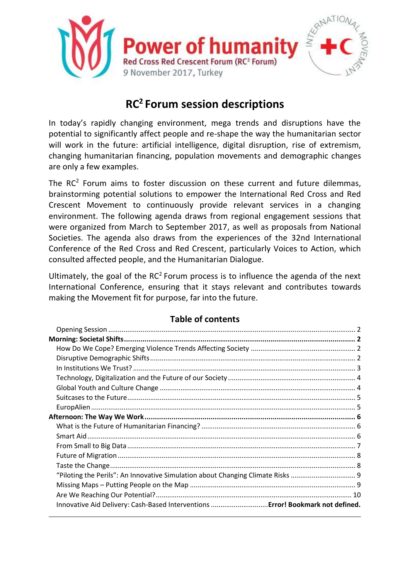

# **RC<sup>2</sup>Forum session descriptions**

In today's rapidly changing environment, mega trends and disruptions have the potential to significantly affect people and re-shape the way the humanitarian sector will work in the future: artificial intelligence, digital disruption, rise of extremism, changing humanitarian financing, population movements and demographic changes are only a few examples.

The RC<sup>2</sup> Forum aims to foster discussion on these current and future dilemmas, brainstorming potential solutions to empower the International Red Cross and Red Crescent Movement to continuously provide relevant services in a changing environment. The following agenda draws from regional engagement sessions that were organized from March to September 2017, as well as proposals from National Societies. The agenda also draws from the experiences of the 32nd International Conference of the Red Cross and Red Crescent, particularly Voices to Action, which consulted affected people, and the Humanitarian Dialogue.

Ultimately, the goal of the  $RC<sup>2</sup>$  Forum process is to influence the agenda of the next International Conference, ensuring that it stays relevant and contributes towards making the Movement fit for purpose, far into the future.

|  | <b>Table of contents</b> |  |
|--|--------------------------|--|
|  |                          |  |

<span id="page-0-0"></span>

| "Piloting the Perils": An Innovative Simulation about Changing Climate Risks  9 |  |
|---------------------------------------------------------------------------------|--|
|                                                                                 |  |
|                                                                                 |  |
| Innovative Aid Delivery: Cash-Based Interventions  Error! Bookmark not defined. |  |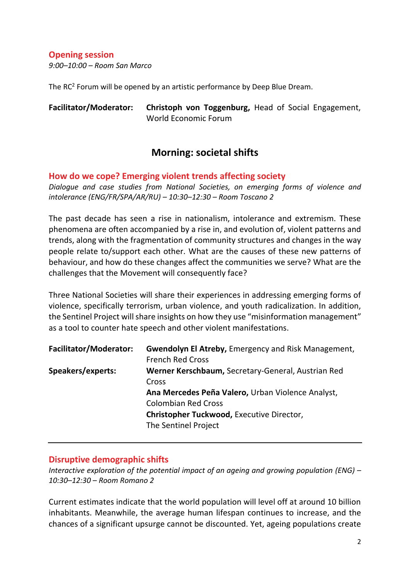## **Opening session**

*9:00–10:00 – Room San Marco*

The RC<sup>2</sup> Forum will be opened by an artistic performance by Deep Blue Dream.

| <b>Facilitator/Moderator:</b> | Christoph von Toggenburg, Head of Social Engagement, |  |  |
|-------------------------------|------------------------------------------------------|--|--|
|                               | World Economic Forum                                 |  |  |

## **Morning: societal shifts**

<span id="page-1-1"></span><span id="page-1-0"></span>**How do we cope? Emerging violent trends affecting society**

*Dialogue and case studies from National Societies, on emerging forms of violence and intolerance (ENG/FR/SPA/AR/RU) – 10:30–12:30 – Room Toscano 2* 

The past decade has seen a rise in nationalism, intolerance and extremism. These phenomena are often accompanied by a rise in, and evolution of, violent patterns and trends, along with the fragmentation of community structures and changes in the way people relate to/support each other. What are the causes of these new patterns of behaviour, and how do these changes affect the communities we serve? What are the challenges that the Movement will consequently face?

Three National Societies will share their experiences in addressing emerging forms of violence, specifically terrorism, urban violence, and youth radicalization. In addition, the Sentinel Project will share insights on how they use "misinformation management" as a tool to counter hate speech and other violent manifestations.

| <b>Facilitator/Moderator:</b> | <b>Gwendolyn El Atreby, Emergency and Risk Management,</b><br><b>French Red Cross</b>                                                                                                                                      |
|-------------------------------|----------------------------------------------------------------------------------------------------------------------------------------------------------------------------------------------------------------------------|
| Speakers/experts:             | Werner Kerschbaum, Secretary-General, Austrian Red<br>Cross<br>Ana Mercedes Peña Valero, Urban Violence Analyst,<br><b>Colombian Red Cross</b><br><b>Christopher Tuckwood, Executive Director,</b><br>The Sentinel Project |

## <span id="page-1-2"></span>**Disruptive demographic shifts**

*Interactive exploration of the potential impact of an ageing and growing population (ENG) – 10:30–12:30 – Room Romano 2*

Current estimates indicate that the world population will level off at around 10 billion inhabitants. Meanwhile, the average human lifespan continues to increase, and the chances of a significant upsurge cannot be discounted. Yet, ageing populations create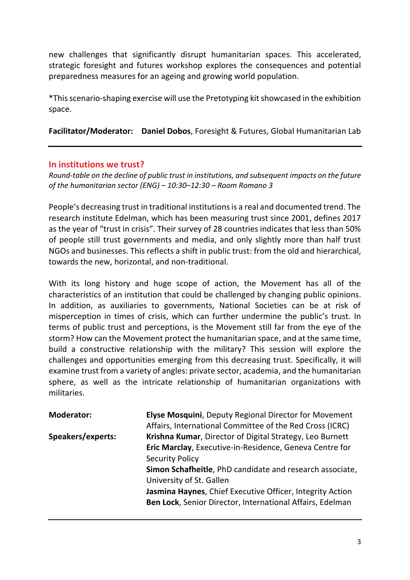new challenges that significantly disrupt humanitarian spaces. This accelerated, strategic foresight and futures workshop explores the consequences and potential preparedness measures for an ageing and growing world population.

\*Thisscenario-shaping exercise will use the Pretotyping kit showcased in the exhibition space.

**Facilitator/Moderator: Daniel Dobos**, Foresight & Futures, Global Humanitarian Lab

## <span id="page-2-0"></span>**In institutions we trust?**

*Round-table on the decline of public trust in institutions, and subsequent impacts on the future of the humanitarian sector (ENG) – 10:30–12:30 – Room Romano 3*

People's decreasing trust in traditional institutions is a real and documented trend. The research institute Edelman, which has been measuring trust since 2001, defines 2017 as the year of "trust in crisis". Their survey of 28 countries indicates that less than 50% of people still trust governments and media, and only slightly more than half trust NGOs and businesses. This reflects a shift in public trust: from the old and hierarchical, towards the new, horizontal, and non-traditional.

With its long history and huge scope of action, the Movement has all of the characteristics of an institution that could be challenged by changing public opinions. In addition, as auxiliaries to governments, National Societies can be at risk of misperception in times of crisis, which can further undermine the public's trust. In terms of public trust and perceptions, is the Movement still far from the eye of the storm? How can the Movement protect the humanitarian space, and at the same time, build a constructive relationship with the military? This session will explore the challenges and opportunities emerging from this decreasing trust. Specifically, it will examine trust from a variety of angles: private sector, academia, and the humanitarian sphere, as well as the intricate relationship of humanitarian organizations with militaries.

| <b>Moderator:</b> | <b>Elyse Mosquini</b> , Deputy Regional Director for Movement<br>Affairs, International Committee of the Red Cross (ICRC) |
|-------------------|---------------------------------------------------------------------------------------------------------------------------|
| Speakers/experts: | Krishna Kumar, Director of Digital Strategy, Leo Burnett                                                                  |
|                   | Eric Marclay, Executive-in-Residence, Geneva Centre for                                                                   |
|                   | <b>Security Policy</b>                                                                                                    |
|                   | Simon Schafheitle, PhD candidate and research associate,                                                                  |
|                   | University of St. Gallen                                                                                                  |
|                   | Jasmina Haynes, Chief Executive Officer, Integrity Action                                                                 |
|                   | Ben Lock, Senior Director, International Affairs, Edelman                                                                 |
|                   |                                                                                                                           |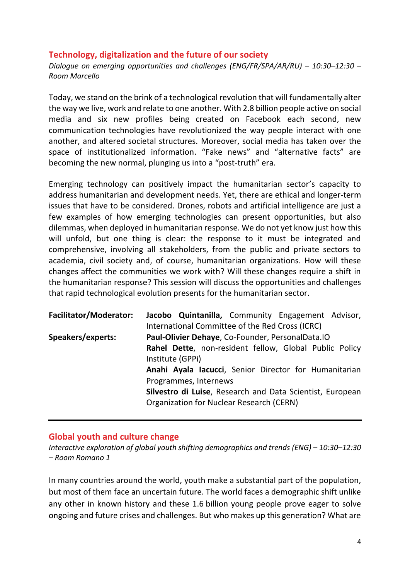## <span id="page-3-0"></span>**Technology, digitalization and the future of our society**

*Dialogue on emerging opportunities and challenges (ENG/FR/SPA/AR/RU) – 10:30-12:30 – Room Marcello*

Today, we stand on the brink of a technological revolution that will fundamentally alter the way we live, work and relate to one another. With 2.8 billion people active on social media and six new profiles being created on Facebook each second, new communication technologies have revolutionized the way people interact with one another, and altered societal structures. Moreover, social media has taken over the space of institutionalized information. "Fake news" and "alternative facts" are becoming the new normal, plunging us into a "post-truth" era.

Emerging technology can positively impact the humanitarian sector's capacity to address humanitarian and development needs. Yet, there are ethical and longer-term issues that have to be considered. Drones, robots and artificial intelligence are just a few examples of how emerging technologies can present opportunities, but also dilemmas, when deployed in humanitarian response. We do not yet know just how this will unfold, but one thing is clear: the response to it must be integrated and comprehensive, involving all stakeholders, from the public and private sectors to academia, civil society and, of course, humanitarian organizations. How will these changes affect the communities we work with? Will these changes require a shift in the humanitarian response? This session will discuss the opportunities and challenges that rapid technological evolution presents for the humanitarian sector.

| <b>Facilitator/Moderator:</b> | Jacobo Quintanilla, Community Engagement Advisor,                          |  |  |  |  |  |  |  |
|-------------------------------|----------------------------------------------------------------------------|--|--|--|--|--|--|--|
|                               | International Committee of the Red Cross (ICRC)                            |  |  |  |  |  |  |  |
| Speakers/experts:             | Paul-Olivier Dehaye, Co-Founder, PersonalData.IO                           |  |  |  |  |  |  |  |
|                               | Rahel Dette, non-resident fellow, Global Public Policy<br>Institute (GPPi) |  |  |  |  |  |  |  |
|                               | Anahi Ayala lacucci, Senior Director for Humanitarian                      |  |  |  |  |  |  |  |
|                               | Programmes, Internews                                                      |  |  |  |  |  |  |  |
|                               | Silvestro di Luise, Research and Data Scientist, European                  |  |  |  |  |  |  |  |
|                               | Organization for Nuclear Research (CERN)                                   |  |  |  |  |  |  |  |

## <span id="page-3-1"></span>**Global youth and culture change**

*Interactive exploration of global youth shifting demographics and trends (ENG) – 10:30–12:30 – Room Romano 1*

In many countries around the world, youth make a substantial part of the population, but most of them face an uncertain future. The world faces a demographic shift unlike any other in known history and these 1.6 billion young people prove eager to solve ongoing and future crises and challenges. But who makes up this generation? What are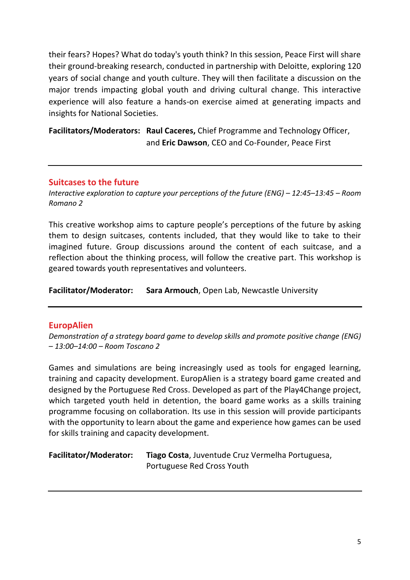their fears? Hopes? What do today's youth think? In this session, Peace First will share their ground-breaking research, conducted in partnership with Deloitte, exploring 120 years of social change and youth culture. They will then facilitate a discussion on the major trends impacting global youth and driving cultural change. This interactive experience will also feature a hands-on exercise aimed at generating impacts and insights for National Societies.

**Facilitators/Moderators: Raul Caceres,** Chief Programme and Technology Officer, and **Eric Dawson**, CEO and Co-Founder, Peace First

## <span id="page-4-0"></span>**Suitcases to the future**

*Interactive exploration to capture your perceptions of the future (ENG) – 12:45–13:45 – Room Romano 2*

This creative workshop aims to capture people's perceptions of the future by asking them to design suitcases, contents included, that they would like to take to their imagined future. Group discussions around the content of each suitcase, and a reflection about the thinking process, will follow the creative part. This workshop is geared towards youth representatives and volunteers.

**Facilitator/Moderator: Sara Armouch**, Open Lab, Newcastle University

## <span id="page-4-1"></span>**EuropAlien**

*Demonstration of a strategy board game to develop skills and promote positive change (ENG) – 13:00–14:00 – Room Toscano 2*

Games and simulations are being increasingly used as tools for engaged learning, training and capacity development. EuropAlien is a strategy board game created and designed by the Portuguese Red Cross. Developed as part of the Play4Change project, which targeted youth held in detention, the board game works as a skills training programme focusing on collaboration. Its use in this session will provide participants with the opportunity to learn about the game and experience how games can be used for skills training and capacity development.

| <b>Facilitator/Moderator:</b> | Tiago Costa, Juventude Cruz Vermelha Portuguesa, |  |  |  |
|-------------------------------|--------------------------------------------------|--|--|--|
|                               | Portuguese Red Cross Youth                       |  |  |  |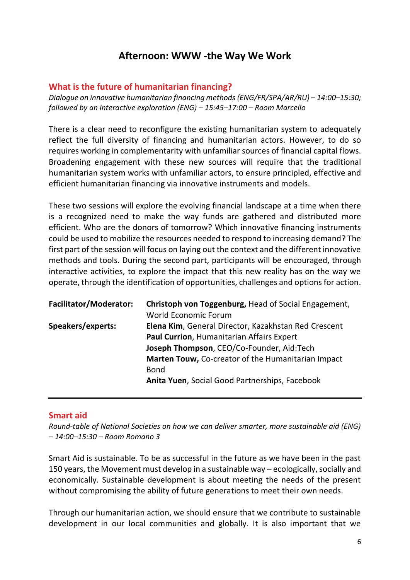## **Afternoon: WWW -the Way We Work**

## <span id="page-5-1"></span><span id="page-5-0"></span>**What is the future of humanitarian financing?**

*Dialogue on innovative humanitarian financing methods (ENG/FR/SPA/AR/RU) – 14:00–15:30; followed by an interactive exploration (ENG) – 15:45–17:00 – Room Marcello*

There is a clear need to reconfigure the existing humanitarian system to adequately reflect the full diversity of financing and humanitarian actors. However, to do so requires working in complementarity with unfamiliar sources of financial capital flows. Broadening engagement with these new sources will require that the traditional humanitarian system works with unfamiliar actors, to ensure principled, effective and efficient humanitarian financing via innovative instruments and models.

These two sessions will explore the evolving financial landscape at a time when there is a recognized need to make the way funds are gathered and distributed more efficient. Who are the donors of tomorrow? Which innovative financing instruments could be used to mobilize the resources needed to respond to increasing demand? The first part of the session will focus on laying out the context and the different innovative methods and tools. During the second part, participants will be encouraged, through interactive activities, to explore the impact that this new reality has on the way we operate, through the identification of opportunities, challenges and options for action.

| <b>Facilitator/Moderator:</b> | Christoph von Toggenburg, Head of Social Engagement,<br><b>World Economic Forum</b> |
|-------------------------------|-------------------------------------------------------------------------------------|
| Speakers/experts:             | Elena Kim, General Director, Kazakhstan Red Crescent                                |
|                               | Paul Currion, Humanitarian Affairs Expert                                           |
|                               | Joseph Thompson, CEO/Co-Founder, Aid:Tech                                           |
|                               | Marten Touw, Co-creator of the Humanitarian Impact                                  |
|                               | <b>Bond</b>                                                                         |
|                               | Anita Yuen, Social Good Partnerships, Facebook                                      |
|                               |                                                                                     |

## <span id="page-5-2"></span>**Smart aid**

*Round-table of National Societies on how we can deliver smarter, more sustainable aid (ENG) – 14:00–15:30 – Room Romano 3*

Smart Aid is sustainable. To be as successful in the future as we have been in the past 150 years, the Movement must develop in a sustainable way – ecologically, socially and economically. Sustainable development is about meeting the needs of the present without compromising the ability of future generations to meet their own needs.

Through our humanitarian action, we should ensure that we contribute to sustainable development in our local communities and globally. It is also important that we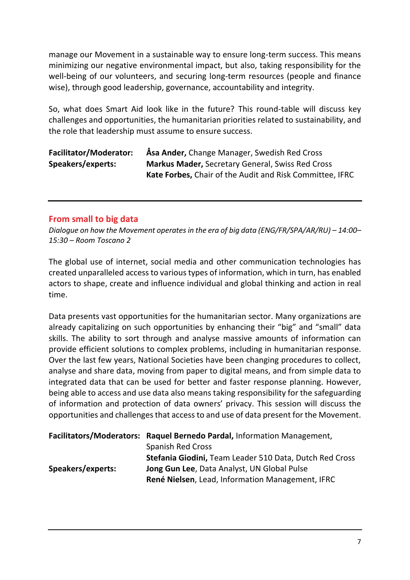manage our Movement in a sustainable way to ensure long-term success. This means minimizing our negative environmental impact, but also, taking responsibility for the well-being of our volunteers, and securing long-term resources (people and finance wise), through good leadership, governance, accountability and integrity.

So, what does Smart Aid look like in the future? This round-table will discuss key challenges and opportunities, the humanitarian priorities related to sustainability, and the role that leadership must assume to ensure success.

| <b>Facilitator/Moderator:</b> | Asa Ander, Change Manager, Swedish Red Cross             |
|-------------------------------|----------------------------------------------------------|
| Speakers/experts:             | <b>Markus Mader, Secretary General, Swiss Red Cross</b>  |
|                               | Kate Forbes, Chair of the Audit and Risk Committee, IFRC |

## <span id="page-6-0"></span>**From small to big data**

*Dialogue on how the Movement operates in the era of big data (ENG/FR/SPA/AR/RU) – 14:00– 15:30 – Room Toscano 2*

The global use of internet, social media and other communication technologies has created unparalleled access to various types of information, which in turn, has enabled actors to shape, create and influence individual and global thinking and action in real time.

Data presents vast opportunities for the humanitarian sector. Many organizations are already capitalizing on such opportunities by enhancing their "big" and "small" data skills. The ability to sort through and analyse massive amounts of information can provide efficient solutions to complex problems, including in humanitarian response. Over the last few years, National Societies have been changing procedures to collect, analyse and share data, moving from paper to digital means, and from simple data to integrated data that can be used for better and faster response planning. However, being able to access and use data also means taking responsibility for the safeguarding of information and protection of data owners' privacy. This session will discuss the opportunities and challenges that access to and use of data present for the Movement.

|                   | Facilitators/Moderators: Raquel Bernedo Pardal, Information Management, |
|-------------------|-------------------------------------------------------------------------|
|                   | <b>Spanish Red Cross</b>                                                |
|                   | Stefania Giodini, Team Leader 510 Data, Dutch Red Cross                 |
| Speakers/experts: | Jong Gun Lee, Data Analyst, UN Global Pulse                             |
|                   | René Nielsen, Lead, Information Management, IFRC                        |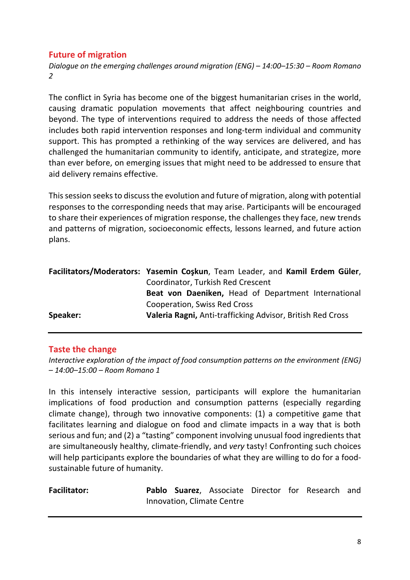## <span id="page-7-0"></span>**Future of migration**

*Dialogue on the emerging challenges around migration (ENG) – 14:00–15:30 – Room Romano 2*

The conflict in Syria has become one of the biggest humanitarian crises in the world, causing dramatic population movements that affect neighbouring countries and beyond. The type of interventions required to address the needs of those affected includes both rapid intervention responses and long-term individual and community support. This has prompted a rethinking of the way services are delivered, and has challenged the humanitarian community to identify, anticipate, and strategize, more than ever before, on emerging issues that might need to be addressed to ensure that aid delivery remains effective.

This session seeks to discuss the evolution and future of migration, along with potential responses to the corresponding needs that may arise. Participants will be encouraged to share their experiences of migration response, the challenges they face, new trends and patterns of migration, socioeconomic effects, lessons learned, and future action plans.

|          | Facilitators/Moderators: Yasemin Coskun, Team Leader, and Kamil Erdem Güler, |  |  |  |  |  |  |
|----------|------------------------------------------------------------------------------|--|--|--|--|--|--|
|          | Coordinator, Turkish Red Crescent                                            |  |  |  |  |  |  |
|          | Beat von Daeniken, Head of Department International                          |  |  |  |  |  |  |
|          | Cooperation, Swiss Red Cross                                                 |  |  |  |  |  |  |
| Speaker: | Valeria Ragni, Anti-trafficking Advisor, British Red Cross                   |  |  |  |  |  |  |

## <span id="page-7-1"></span>**Taste the change**

*Interactive exploration of the impact of food consumption patterns on the environment (ENG) – 14:00–15:00 – Room Romano 1*

In this intensely interactive session, participants will explore the humanitarian implications of food production and consumption patterns (especially regarding climate change), through two innovative components: (1) a competitive game that facilitates learning and dialogue on food and climate impacts in a way that is both serious and fun; and (2) a "tasting" component involving unusual food ingredients that are simultaneously healthy, climate-friendly, and *very* tasty! Confronting such choices will help participants explore the boundaries of what they are willing to do for a foodsustainable future of humanity.

| <b>Facilitator:</b> |  | Pablo Suarez, Associate Director for Research and |  |  |
|---------------------|--|---------------------------------------------------|--|--|
|                     |  | Innovation, Climate Centre                        |  |  |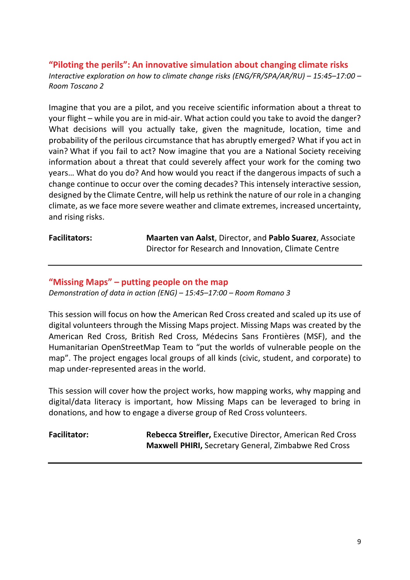<span id="page-8-0"></span>**"Piloting the perils": An innovative simulation about changing climate risks** *Interactive exploration on how to climate change risks (ENG/FR/SPA/AR/RU) – 15:45–17:00 – Room Toscano 2*

Imagine that you are a pilot, and you receive scientific information about a threat to your flight – while you are in mid-air. What action could you take to avoid the danger? What decisions will you actually take, given the magnitude, location, time and probability of the perilous circumstance that has abruptly emerged? What if you act in vain? What if you fail to act? Now imagine that you are a National Society receiving information about a threat that could severely affect your work for the coming two years… What do you do? And how would you react if the dangerous impacts of such a change continue to occur over the coming decades? This intensely interactive session, designed by the Climate Centre, will help us rethink the nature of our role in a changing climate, as we face more severe weather and climate extremes, increased uncertainty, and rising risks.

**Facilitators: Maarten van Aalst**, Director, and **Pablo Suarez**, Associate Director for Research and Innovation, Climate Centre

## <span id="page-8-1"></span>**"Missing Maps" – putting people on the map**

*Demonstration of data in action (ENG) – 15:45–17:00 – Room Romano 3*

This session will focus on how the American Red Cross created and scaled up its use of digital volunteers through the Missing Maps project. Missing Maps was created by the American Red Cross, British Red Cross, Médecins Sans Frontières (MSF), and the Humanitarian OpenStreetMap Team to "put the worlds of vulnerable people on the map". The project engages local groups of all kinds (civic, student, and corporate) to map under-represented areas in the world.

This session will cover how the project works, how mapping works, why mapping and digital/data literacy is important, how Missing Maps can be leveraged to bring in donations, and how to engage a diverse group of Red Cross volunteers.

<span id="page-8-2"></span>**Facilitator: Rebecca Streifler,** Executive Director, American Red Cross **Maxwell PHIRI,** Secretary General, Zimbabwe Red Cross